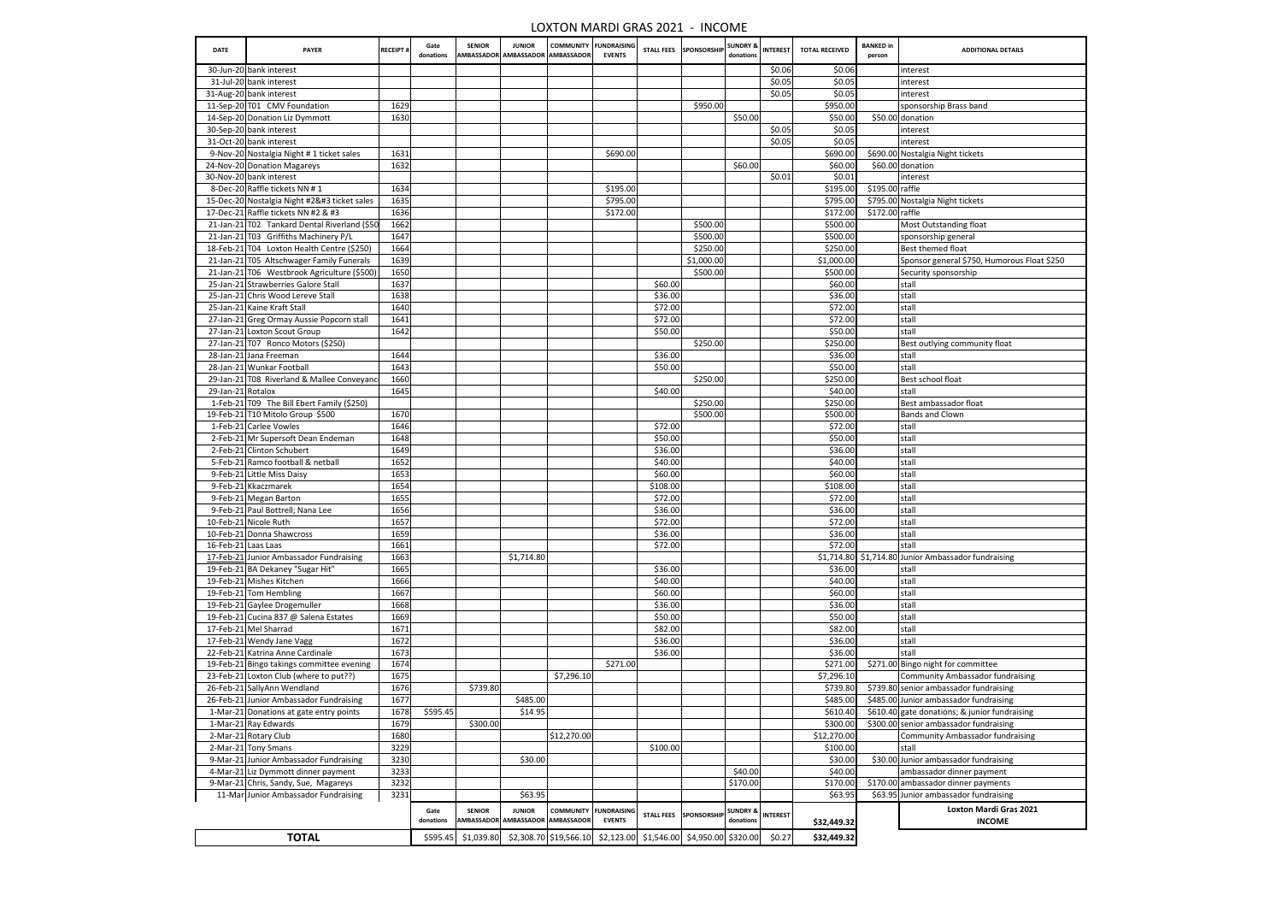| <b>DATE</b>       | <b>PAYER</b>                                                                        | <b>RECEIPT#</b> | Gate<br>donations | <b>SENIOR</b>         | <b>JUNIOR</b><br>AMBASSADOR AMBASSADOR AMBASSADOR |             | <b>COMMUNITY FUNDRAISING</b><br><b>EVENTS</b>                    |                     | STALL FEES SPONSORSHIP                   | <b>SUNDRY &amp;</b><br>donations | <b>INTEREST</b> | <b>TOTAL RECEIVED</b>  | <b>BANKED</b> in<br>person | <b>ADDITIONAL DETAILS</b>                                              |
|-------------------|-------------------------------------------------------------------------------------|-----------------|-------------------|-----------------------|---------------------------------------------------|-------------|------------------------------------------------------------------|---------------------|------------------------------------------|----------------------------------|-----------------|------------------------|----------------------------|------------------------------------------------------------------------|
|                   | 30-Jun-20 bank interest                                                             |                 |                   |                       |                                                   |             |                                                                  |                     |                                          |                                  | \$0.06          | \$0.06                 |                            | interest                                                               |
|                   | 31-Jul-20 bank interest                                                             |                 |                   |                       |                                                   |             |                                                                  |                     |                                          |                                  | \$0.05          | \$0.05                 |                            | interest                                                               |
|                   | 31-Aug-20 bank interest                                                             |                 |                   |                       |                                                   |             |                                                                  |                     |                                          |                                  | \$0.05          | \$0.05                 |                            | interest                                                               |
|                   | 11-Sep-20 T01 CMV Foundation                                                        | 1629            |                   |                       |                                                   |             |                                                                  |                     | \$950.00                                 | \$50.00                          |                 | \$950.00               |                            | sponsorship Brass band<br>\$50.00 donation                             |
|                   | 14-Sep-20 Donation Liz Dymmott<br>30-Sep-20 bank interest                           | 1630            |                   |                       |                                                   |             |                                                                  |                     |                                          |                                  | \$0.05          | \$50.00<br>\$0.05      |                            | interest                                                               |
|                   | 31-Oct-20 bank interest                                                             |                 |                   |                       |                                                   |             |                                                                  |                     |                                          |                                  | \$0.05          | \$0.05                 |                            | interest                                                               |
|                   | 9-Nov-20 Nostalgia Night #1 ticket sales                                            | 1631            |                   |                       |                                                   |             | \$690.00                                                         |                     |                                          |                                  |                 | \$690.00               |                            | \$690.00 Nostalgia Night tickets                                       |
|                   | 24-Nov-20 Donation Magareys                                                         | 1632            |                   |                       |                                                   |             |                                                                  |                     |                                          | \$60.00                          |                 | \$60.00                |                            | \$60.00 donation                                                       |
|                   | 30-Nov-20 bank interest                                                             |                 |                   |                       |                                                   |             |                                                                  |                     |                                          |                                  | \$0.01          | \$0.01                 |                            | <b>Interest</b>                                                        |
|                   | 8-Dec-20 Raffle tickets NN #1                                                       | 1634            |                   |                       |                                                   |             | \$195.00                                                         |                     |                                          |                                  |                 | \$195.00               | $$195.00$ raffle           |                                                                        |
|                   | 15-Dec-20 Nostalgia Night #2 ticket sales                                          | 1635            |                   |                       |                                                   |             | \$795.00                                                         |                     |                                          |                                  |                 | \$795.00               |                            | \$795.00 Nostalgia Night tickets                                       |
|                   | 17-Dec-21 Raffle tickets NN #2 & #3                                                 | 1636            |                   |                       |                                                   |             | \$172.00                                                         |                     |                                          |                                  |                 | \$172.00               | $$172.00$ raffle           |                                                                        |
|                   | 21-Jan-21 T02 Tankard Dental Riverland (\$50                                        | 1662            |                   |                       |                                                   |             |                                                                  |                     | \$500.00                                 |                                  |                 | \$500.00               |                            | <b>Most Outstanding float</b>                                          |
|                   | 21-Jan-21 T03 Griffiths Machinery P/L                                               | 1647            |                   |                       |                                                   |             |                                                                  |                     | \$500.00                                 |                                  |                 | \$500.00               |                            | sponsorship general                                                    |
|                   | 18-Feb-21 T04 Loxton Health Centre (\$250)                                          | 1664            |                   |                       |                                                   |             |                                                                  |                     | \$250.00                                 |                                  |                 | \$250.00               |                            | Best themed float                                                      |
|                   | 21-Jan-21 T05 Altschwager Family Funerals                                           | 1639            |                   |                       |                                                   |             |                                                                  |                     | \$1,000.00                               |                                  |                 | \$1,000.00             |                            | Sponsor general \$750, Humorous Float \$250                            |
|                   | 21-Jan-21 T06 Westbrook Agriculture (\$500)                                         | 1650            |                   |                       |                                                   |             |                                                                  |                     | \$500.00                                 |                                  |                 | \$500.00               |                            | Security sponsorship                                                   |
|                   | 25-Jan-21 Strawberries Galore Stall                                                 | 1637            |                   |                       |                                                   |             |                                                                  | \$60.00<br>\$36.00  |                                          |                                  |                 | \$60.00                |                            | stall                                                                  |
|                   | 25-Jan-21 Chris Wood Lereve Stall<br>25-Jan-21 Kaine Kraft Stall                    | 1638<br>1640    |                   |                       |                                                   |             |                                                                  | \$72.00             |                                          |                                  |                 | \$36.00<br>\$72.00     |                            | stall<br>stall                                                         |
|                   | 27-Jan-21 Greg Ormay Aussie Popcorn stall                                           | 1641            |                   |                       |                                                   |             |                                                                  | \$72.00             |                                          |                                  |                 | \$72.00                |                            | stall                                                                  |
|                   | 27-Jan-21 Loxton Scout Group                                                        | 1642            |                   |                       |                                                   |             |                                                                  | \$50.00             |                                          |                                  |                 | \$50.00                |                            | <b>stall</b>                                                           |
|                   | 27-Jan-21 T07 Ronco Motors (\$250)                                                  |                 |                   |                       |                                                   |             |                                                                  |                     | \$250.00                                 |                                  |                 | \$250.00               |                            | Best outlying community float                                          |
|                   | 28-Jan-21 Jana Freeman                                                              | 1644            |                   |                       |                                                   |             |                                                                  | \$36.00             |                                          |                                  |                 | \$36.00                |                            | <b>stall</b>                                                           |
|                   | 28-Jan-21 Wunkar Football                                                           | 1643            |                   |                       |                                                   |             |                                                                  | \$50.00             |                                          |                                  |                 | \$50.00                |                            | stall                                                                  |
|                   | 29-Jan-21 T08 Riverland & Mallee Conveyand                                          | 1660            |                   |                       |                                                   |             |                                                                  |                     | \$250.00                                 |                                  |                 | \$250.00               |                            | Best school float                                                      |
| 29-Jan-21 Rotalox |                                                                                     | 1645            |                   |                       |                                                   |             |                                                                  | \$40.00             |                                          |                                  |                 | \$40.00                |                            | stall                                                                  |
|                   | 1-Feb-21 T09 The Bill Ebert Family (\$250)                                          |                 |                   |                       |                                                   |             |                                                                  |                     | \$250.00                                 |                                  |                 | \$250.00               |                            | Best ambassador float                                                  |
|                   | 19-Feb-21 T10 Mitolo Group \$500                                                    | 1670            |                   |                       |                                                   |             |                                                                  |                     | \$500.00                                 |                                  |                 | \$500.00               |                            | <b>Bands and Clown</b>                                                 |
|                   | 1-Feb-21 Carlee Vowles                                                              | 1646            |                   |                       |                                                   |             |                                                                  | \$72.00             |                                          |                                  |                 | \$72.00                |                            | stall                                                                  |
|                   | 2-Feb-21 Mr Supersoft Dean Endeman                                                  | 1648            |                   |                       |                                                   |             |                                                                  | \$50.00             |                                          |                                  |                 | \$50.00                |                            | stall                                                                  |
|                   | 2-Feb-21 Clinton Schubert                                                           | 1649            |                   |                       |                                                   |             |                                                                  | \$36.00             |                                          |                                  |                 | \$36.00                |                            | stall                                                                  |
|                   | 5-Feb-21 Ramco football & netball                                                   | 1652            |                   |                       |                                                   |             |                                                                  | \$40.00             |                                          |                                  |                 | \$40.00                |                            | stall                                                                  |
|                   | 9-Feb-21 Little Miss Daisy<br>9-Feb-21 Kkaczmarek                                   | 1653<br>1654    |                   |                       |                                                   |             |                                                                  | \$60.00<br>\$108.00 |                                          |                                  |                 | \$60.00<br>\$108.00    |                            | stall<br> stall                                                        |
|                   | 9-Feb-21 Megan Barton                                                               | 1655            |                   |                       |                                                   |             |                                                                  | \$72.00             |                                          |                                  |                 | \$72.00                |                            | stall                                                                  |
|                   | 9-Feb-21 Paul Bottrell; Nana Lee                                                    | 1656            |                   |                       |                                                   |             |                                                                  | \$36.00             |                                          |                                  |                 | \$36.00                |                            | stall                                                                  |
|                   | 10-Feb-21 Nicole Ruth                                                               | 1657            |                   |                       |                                                   |             |                                                                  | \$72.00             |                                          |                                  |                 | \$72.00                |                            | stall                                                                  |
|                   | 10-Feb-21 Donna Shawcross                                                           | 1659            |                   |                       |                                                   |             |                                                                  | \$36.00             |                                          |                                  |                 | \$36.00                |                            | stall                                                                  |
|                   | 16-Feb-21 Laas Laas                                                                 | 1661            |                   |                       |                                                   |             |                                                                  | \$72.00             |                                          |                                  |                 | \$72.00                |                            | <b>stall</b>                                                           |
|                   | 17-Feb-21 Junior Ambassador Fundraising                                             | 1663            |                   |                       | \$1,714.80                                        |             |                                                                  |                     |                                          |                                  |                 |                        |                            | \$1,714.80 \$1,714.80 Junior Ambassador fundraising                    |
|                   | 19-Feb-21 BA Dekaney "Sugar Hit"                                                    | 1665            |                   |                       |                                                   |             |                                                                  | \$36.00             |                                          |                                  |                 | \$36.00                |                            | stall                                                                  |
|                   | 19-Feb-21 Mishes Kitchen                                                            | 1666            |                   |                       |                                                   |             |                                                                  | \$40.00             |                                          |                                  |                 | \$40.00                |                            | stall                                                                  |
|                   | 19-Feb-21 Tom Hembling                                                              | 1667            |                   |                       |                                                   |             |                                                                  | \$60.00             |                                          |                                  |                 | \$60.00                |                            | stall                                                                  |
|                   | 19-Feb-21 Gaylee Drogemuller                                                        | 1668            |                   |                       |                                                   |             |                                                                  | \$36.00             |                                          |                                  |                 | \$36.00                |                            | stall                                                                  |
|                   | 19-Feb-21 Cucina 837 @ Salena Estates                                               | 1669            |                   |                       |                                                   |             |                                                                  | \$50.00             |                                          |                                  |                 | \$50.00                |                            | stall                                                                  |
|                   | 17-Feb-21 Mel Sharrad                                                               | 1671            |                   |                       |                                                   |             |                                                                  | \$82.00             |                                          |                                  |                 | \$82.00                |                            | stall                                                                  |
|                   | 17-Feb-21 Wendy Jane Vagg                                                           | 1672            |                   |                       |                                                   |             |                                                                  | \$36.00             |                                          |                                  |                 | \$36.00                |                            | stall                                                                  |
|                   | 22-Feb-21 Katrina Anne Cardinale                                                    | 1673            |                   |                       |                                                   |             |                                                                  | \$36.00             |                                          |                                  |                 | \$36.00                |                            | Istall                                                                 |
|                   | 19-Feb-21 Bingo takings committee evening<br>23-Feb-21 Loxton Club (where to put??) | 1674<br>1675    |                   |                       |                                                   | \$7,296.10  | \$271.00                                                         |                     |                                          |                                  |                 | \$271.00<br>\$7,296.10 |                            | \$271.00 Bingo night for committee<br>Community Ambassador fundraising |
|                   | 26-Feb-21 SallyAnn Wendland                                                         | 1676            |                   | \$739.80              |                                                   |             |                                                                  |                     |                                          |                                  |                 | \$739.80               |                            | \$739.80 senior ambassador fundraising                                 |
|                   | 26-Feb-21 Junior Ambassador Fundraising                                             | 1677            |                   |                       | \$485.00                                          |             |                                                                  |                     |                                          |                                  |                 | \$485.00               |                            | \$485.00 Junior ambassador fundraising                                 |
|                   | 1-Mar-21 Donations at gate entry points                                             | 1678            | \$595.45          |                       | \$14.95                                           |             |                                                                  |                     |                                          |                                  |                 | \$610.40               |                            | \$610.40 gate donations; & junior fundraising                          |
|                   | 1-Mar-21 Ray Edwards                                                                | 1679            |                   | \$300.00              |                                                   |             |                                                                  |                     |                                          |                                  |                 | \$300.00]              |                            | \$300.00 senior ambassador fundraising                                 |
|                   | 2-Mar-21 Rotary Club                                                                | 1680            |                   |                       |                                                   | \$12,270.00 |                                                                  |                     |                                          |                                  |                 | \$12,270.00            |                            | Community Ambassador fundraising                                       |
|                   | 2-Mar-21 Tony Smans                                                                 | 3229            |                   |                       |                                                   |             |                                                                  | \$100.00            |                                          |                                  |                 | \$100.00               |                            | stall                                                                  |
|                   | 9-Mar-21 Junior Ambassador Fundraising                                              | 3230            |                   |                       | \$30.00                                           |             |                                                                  |                     |                                          |                                  |                 | \$30.00                |                            | \$30.00 Junior ambassador fundraising                                  |
|                   | 4-Mar-21 Liz Dymmott dinner payment                                                 | 3233            |                   |                       |                                                   |             |                                                                  |                     |                                          | \$40.00                          |                 | \$40.00                |                            | ambassador dinner payment                                              |
|                   | 9-Mar-21 Chris, Sandy, Sue, Magareys                                                | 3232            |                   |                       |                                                   |             |                                                                  |                     |                                          | \$170.00                         |                 | \$170.00               |                            | \$170.00 ambassador dinner payments                                    |
|                   | 11-Mar Junior Ambassador Fundraising                                                | 3231            |                   |                       | \$63.95                                           |             |                                                                  |                     |                                          |                                  |                 | \$63.95                |                            | \$63.95 Junior ambassador fundraising                                  |
|                   |                                                                                     |                 | Gate              | <b>SENIOR</b>         | <b>JUNIOR</b>                                     |             | <b>COMMUNITY FUNDRAISING</b>                                     |                     | STALL FEES SPONSORSHIP SUNDRY & INTEREST |                                  |                 |                        |                            | <b>Loxton Mardi Gras 2021</b>                                          |
|                   |                                                                                     |                 | donations         |                       | AMBASSADOR AMBASSADOR AMBASSADOR                  |             | <b>EVENTS</b>                                                    |                     |                                          | donations                        |                 | \$32,449.32            |                            | <b>INCOME</b>                                                          |
|                   | <b>TOTAL</b>                                                                        |                 |                   | $$595.45$ $$1,039.80$ |                                                   |             | \$2,308.70 \$19,566.10 \$2,123.00 \$1,546.00 \$4,950.00 \$320.00 |                     |                                          |                                  | \$0.27          | \$32,449.32            |                            |                                                                        |
|                   |                                                                                     |                 |                   |                       |                                                   |             |                                                                  |                     |                                          |                                  |                 |                        |                            |                                                                        |

## LOXTON MARDI GRAS 2021 - INCOME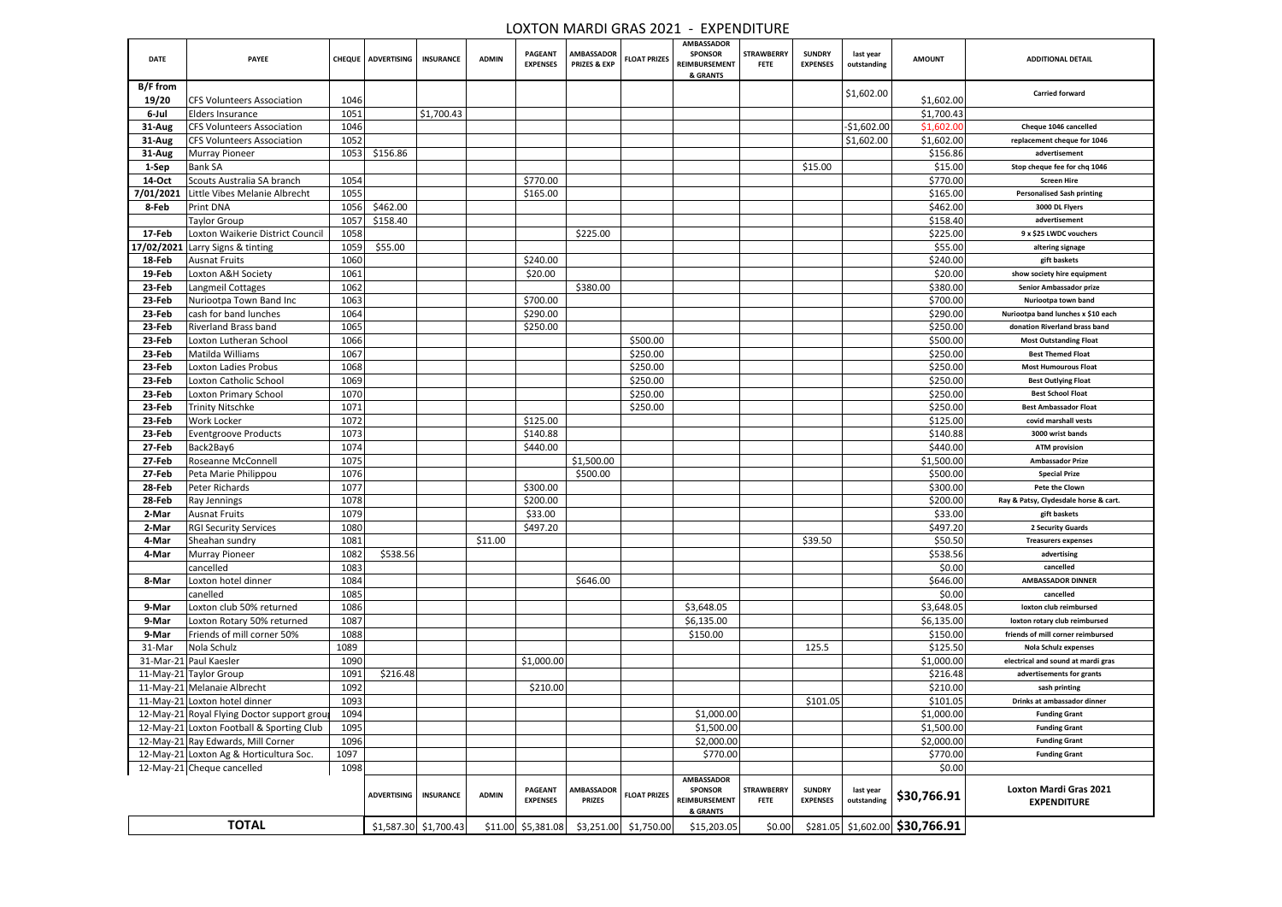|             |                                             |      |                                  |                         |              |                                   |                                              |                     | LUXTUN MARDI GRAS 2021 - EXPENDITURE                             |                                  |                                  |                          |                                                     |                                                     |
|-------------|---------------------------------------------|------|----------------------------------|-------------------------|--------------|-----------------------------------|----------------------------------------------|---------------------|------------------------------------------------------------------|----------------------------------|----------------------------------|--------------------------|-----------------------------------------------------|-----------------------------------------------------|
| <b>DATE</b> | <b>PAYEE</b>                                |      | CHEQUE   ADVERTISING   INSURANCE |                         | <b>ADMIN</b> | <b>PAGEANT</b><br><b>EXPENSES</b> | <b>AMBASSADOR</b><br><b>PRIZES &amp; EXP</b> | <b>FLOAT PRIZES</b> | <b>AMBASSADOR</b><br><b>SPONSOR</b><br>REIMBURSEMENT<br>& GRANTS | <b>STRAWBERRY</b><br><b>FETE</b> | <b>SUNDRY</b><br><b>EXPENSES</b> | last year<br>outstanding | <b>AMOUNT</b>                                       | <b>ADDITIONAL DETAIL</b>                            |
| B/F from    |                                             |      |                                  |                         |              |                                   |                                              |                     |                                                                  |                                  |                                  | $\vert$ \$1,602.00       |                                                     | <b>Carried forward</b>                              |
| 19/20       | <b>CFS Volunteers Association</b>           | 1046 |                                  |                         |              |                                   |                                              |                     |                                                                  |                                  |                                  |                          | \$1,602.00                                          |                                                     |
| 6-Jul       | <b>Elders Insurance</b>                     | 1051 |                                  | \$1,700.43              |              |                                   |                                              |                     |                                                                  |                                  |                                  |                          | \$1,700.43                                          |                                                     |
| 31-Aug      | <b>CFS Volunteers Association</b>           | 1046 |                                  |                         |              |                                   |                                              |                     |                                                                  |                                  |                                  | $-$1,602.00$             | \$1,602.00                                          | Cheque 1046 cancelled                               |
| 31-Aug      | <b>CFS Volunteers Association</b>           | 1052 |                                  |                         |              |                                   |                                              |                     |                                                                  |                                  |                                  | \$1,602.00               | \$1,602.00                                          | replacement cheque for 1046                         |
| 31-Aug      | <b>Murray Pioneer</b>                       | 1053 | \$156.86                         |                         |              |                                   |                                              |                     |                                                                  |                                  |                                  |                          | \$156.86                                            | advertisement                                       |
| 1-Sep       | <b>Bank SA</b>                              |      |                                  |                         |              |                                   |                                              |                     |                                                                  |                                  | \$15.00                          |                          | \$15.00                                             | Stop cheque fee for chq 1046                        |
| 14-Oct      | Scouts Australia SA branch                  | 1054 |                                  |                         |              | \$770.00                          |                                              |                     |                                                                  |                                  |                                  |                          | \$770.00                                            | <b>Screen Hire</b>                                  |
| 7/01/2021   | Little Vibes Melanie Albrecht               | 1055 |                                  |                         |              | \$165.00                          |                                              |                     |                                                                  |                                  |                                  |                          | \$165.00                                            | <b>Personalised Sash printing</b>                   |
| 8-Feb       | Print DNA                                   | 1056 | \$462.00                         |                         |              |                                   |                                              |                     |                                                                  |                                  |                                  |                          | \$462.00                                            | 3000 DL Flyers                                      |
|             | Taylor Group                                | 1057 | \$158.40                         |                         |              |                                   |                                              |                     |                                                                  |                                  |                                  |                          | \$158.40                                            | advertisement                                       |
| 17-Feb      | Loxton Waikerie District Council            | 1058 |                                  |                         |              |                                   | \$225.00                                     |                     |                                                                  |                                  |                                  |                          | \$225.00                                            | 9 x \$25 LWDC vouchers                              |
| 17/02/2021  | Larry Signs & tinting                       | 1059 | \$55.00                          |                         |              |                                   |                                              |                     |                                                                  |                                  |                                  |                          | \$55.00                                             | altering signage                                    |
| 18-Feb      | <b>Ausnat Fruits</b>                        | 1060 |                                  |                         |              | \$240.00                          |                                              |                     |                                                                  |                                  |                                  |                          | \$240.00                                            | gift baskets                                        |
| 19-Feb      | Loxton A&H Society                          | 1061 |                                  |                         |              | \$20.00                           |                                              |                     |                                                                  |                                  |                                  |                          | \$20.00                                             | show society hire equipment                         |
| 23-Feb      | Langmeil Cottages                           | 1062 |                                  |                         |              |                                   | \$380.00                                     |                     |                                                                  |                                  |                                  |                          | \$380.00                                            | Senior Ambassador prize                             |
| 23-Feb      | Nuriootpa Town Band Inc                     | 1063 |                                  |                         |              | \$700.00                          |                                              |                     |                                                                  |                                  |                                  |                          | \$700.00                                            | Nuriootpa town band                                 |
| 23-Feb      | cash for band lunches                       | 1064 |                                  |                         |              | \$290.00                          |                                              |                     |                                                                  |                                  |                                  |                          | \$290.00                                            | Nuriootpa band lunches x \$10 each                  |
| 23-Feb      | Riverland Brass band                        | 1065 |                                  |                         |              | \$250.00                          |                                              |                     |                                                                  |                                  |                                  |                          | \$250.00                                            | donation Riverland brass band                       |
| 23-Feb      | Loxton Lutheran School                      | 1066 |                                  |                         |              |                                   |                                              | \$500.00            |                                                                  |                                  |                                  |                          | \$500.00                                            | <b>Most Outstanding Float</b>                       |
| 23-Feb      | Matilda Williams                            | 1067 |                                  |                         |              |                                   |                                              | \$250.00            |                                                                  |                                  |                                  |                          | \$250.00                                            | <b>Best Themed Float</b>                            |
| 23-Feb      | <b>Loxton Ladies Probus</b>                 | 1068 |                                  |                         |              |                                   |                                              | \$250.00            |                                                                  |                                  |                                  |                          | \$250.00                                            | <b>Most Humourous Float</b>                         |
| 23-Feb      | Loxton Catholic School                      | 1069 |                                  |                         |              |                                   |                                              | \$250.00            |                                                                  |                                  |                                  |                          | \$250.00                                            | <b>Best Outlying Float</b>                          |
| 23-Feb      | Loxton Primary School                       | 1070 |                                  |                         |              |                                   |                                              | \$250.00            |                                                                  |                                  |                                  |                          | \$250.00                                            | <b>Best School Float</b>                            |
| 23-Feb      | <b>Trinity Nitschke</b>                     | 1071 |                                  |                         |              |                                   |                                              | \$250.00            |                                                                  |                                  |                                  |                          | \$250.00                                            | <b>Best Ambassador Float</b>                        |
| 23-Feb      | Work Locker                                 | 1072 |                                  |                         |              | \$125.00                          |                                              |                     |                                                                  |                                  |                                  |                          | \$125.00                                            | covid marshall vests                                |
| 23-Feb      | <b>Eventgroove Products</b>                 | 1073 |                                  |                         |              | \$140.88                          |                                              |                     |                                                                  |                                  |                                  |                          | \$140.88                                            | 3000 wrist bands                                    |
| 27-Feb      | Back2Bay6                                   | 1074 |                                  |                         |              | \$440.00                          |                                              |                     |                                                                  |                                  |                                  |                          | \$440.00                                            | <b>ATM provision</b>                                |
| 27-Feb      | Roseanne McConnell                          | 1075 |                                  |                         |              |                                   | \$1,500.00                                   |                     |                                                                  |                                  |                                  |                          | \$1,500.00                                          | <b>Ambassador Prize</b>                             |
| 27-Feb      | Peta Marie Philippou                        | 1076 |                                  |                         |              |                                   | \$500.00                                     |                     |                                                                  |                                  |                                  |                          | \$500.00                                            | <b>Special Prize</b>                                |
| 28-Feb      | Peter Richards                              | 1077 |                                  |                         |              | \$300.00                          |                                              |                     |                                                                  |                                  |                                  |                          | \$300.00                                            | Pete the Clown                                      |
| 28-Feb      | Ray Jennings                                | 1078 |                                  |                         |              | \$200.00                          |                                              |                     |                                                                  |                                  |                                  |                          | \$200.00                                            | Ray & Patsy, Clydesdale horse & cart.               |
| 2-Mar       | <b>Ausnat Fruits</b>                        | 1079 |                                  |                         |              | \$33.00                           |                                              |                     |                                                                  |                                  |                                  |                          | \$33.00                                             | gift baskets                                        |
| 2-Mar       | <b>RGI Security Services</b>                | 1080 |                                  |                         |              | \$497.20                          |                                              |                     |                                                                  |                                  |                                  |                          | \$497.20                                            | 2 Security Guards                                   |
| 4-Mar       | Sheahan sundry                              | 1081 |                                  |                         | \$11.00      |                                   |                                              |                     |                                                                  |                                  | \$39.50                          |                          | \$50.50                                             | <b>Treasurers expenses</b>                          |
| 4-Mar       | <b>Murray Pioneer</b>                       | 1082 | \$538.56                         |                         |              |                                   |                                              |                     |                                                                  |                                  |                                  |                          | \$538.56                                            | advertising                                         |
|             | cancelled                                   | 1083 |                                  |                         |              |                                   |                                              |                     |                                                                  |                                  |                                  |                          | \$0.00                                              | cancelled                                           |
| 8-Mar       | Loxton hotel dinner                         | 1084 |                                  |                         |              |                                   | \$646.00                                     |                     |                                                                  |                                  |                                  |                          | \$646.00                                            | <b>AMBASSADOR DINNER</b>                            |
|             | canelled                                    | 1085 |                                  |                         |              |                                   |                                              |                     |                                                                  |                                  |                                  |                          | \$0.00                                              | cancelled                                           |
| 9-Mar       | Loxton club 50% returned                    | 1086 |                                  |                         |              |                                   |                                              |                     | \$3,648.05                                                       |                                  |                                  |                          | \$3,648.05                                          | loxton club reimbursed                              |
| 9-Mar       | Loxton Rotary 50% returned                  | 1087 |                                  |                         |              |                                   |                                              |                     | \$6,135.00                                                       |                                  |                                  |                          | \$6,135.00                                          | loxton rotary club reimbursed                       |
| 9-Mar       | Friends of mill corner 50%                  | 1088 |                                  |                         |              |                                   |                                              |                     | \$150.00                                                         |                                  |                                  |                          | \$150.00                                            | friends of mill corner reimbursed                   |
| 31-Mar      | Nola Schulz                                 | 1089 |                                  |                         |              |                                   |                                              |                     |                                                                  |                                  | 125.5                            |                          | \$125.50                                            | Nola Schulz expenses                                |
|             | 31-Mar-21 Paul Kaesler                      | 1090 |                                  |                         |              | \$1,000.00                        |                                              |                     |                                                                  |                                  |                                  |                          | \$1,000.00                                          | electrical and sound at mardi gras                  |
|             | 11-May-21 Taylor Group                      | 1091 | \$216.48                         |                         |              |                                   |                                              |                     |                                                                  |                                  |                                  |                          | \$216.48                                            | advertisements for grants                           |
|             | 11-May-21 Melanaie Albrecht                 | 1092 |                                  |                         |              | \$210.00                          |                                              |                     |                                                                  |                                  |                                  |                          | \$210.00                                            | sash printing                                       |
|             | 11-May-21 Loxton hotel dinner               | 1093 |                                  |                         |              |                                   |                                              |                     |                                                                  |                                  | \$101.05                         |                          | \$101.05                                            | Drinks at ambassador dinner                         |
|             | 12-May-21 Royal Flying Doctor support group | 1094 |                                  |                         |              |                                   |                                              |                     | \$1,000.00                                                       |                                  |                                  |                          | \$1,000.00                                          | <b>Funding Grant</b>                                |
|             | 12-May-21 Loxton Football & Sporting Club   | 1095 |                                  |                         |              |                                   |                                              |                     | \$1,500.00                                                       |                                  |                                  |                          | \$1,500.00                                          | <b>Funding Grant</b>                                |
|             | 12-May-21 Ray Edwards, Mill Corner          | 1096 |                                  |                         |              |                                   |                                              |                     | \$2,000.00                                                       |                                  |                                  |                          | \$2,000.00                                          | <b>Funding Grant</b>                                |
|             | 12-May-21 Loxton Ag & Horticultura Soc.     | 1097 |                                  |                         |              |                                   |                                              |                     | \$770.00                                                         |                                  |                                  |                          | \$770.00                                            | <b>Funding Grant</b>                                |
|             | 12-May-21 Cheque cancelled                  | 1098 |                                  |                         |              |                                   |                                              |                     |                                                                  |                                  |                                  |                          | \$0.00                                              |                                                     |
|             |                                             |      | <b>ADVERTISING</b>               | <b>INSURANCE</b>        | <b>ADMIN</b> | <b>PAGEANT</b><br><b>EXPENSES</b> | <b>AMBASSADOR</b><br><b>PRIZES</b>           | <b>FLOAT PRIZES</b> | <b>AMBASSADOR</b><br><b>SPONSOR</b><br>REIMBURSEMENT<br>& GRANTS | <b>STRAWBERRY</b><br><b>FETE</b> | <b>SUNDRY</b><br><b>EXPENSES</b> |                          | $\frac{1}{2}$ outstanding $\frac{1}{2}$ \$30,766.91 | <b>Loxton Mardi Gras 2021</b><br><b>EXPENDITURE</b> |
|             | <b>TOTAL</b>                                |      |                                  | $$1,587.30$ $$1,700.43$ |              | $$11.00 \mid $5,381.08$           | \$3,251.00                                   | \$1,750.00          | \$15,203.05                                                      | \$0.00                           |                                  |                          | \$281.05 \$1,602.00 \$30,766.91                     |                                                     |
|             |                                             |      |                                  |                         |              |                                   |                                              |                     |                                                                  |                                  |                                  |                          |                                                     |                                                     |

# LOXTON MARDI GRAS 2021 - EXPENDITURE